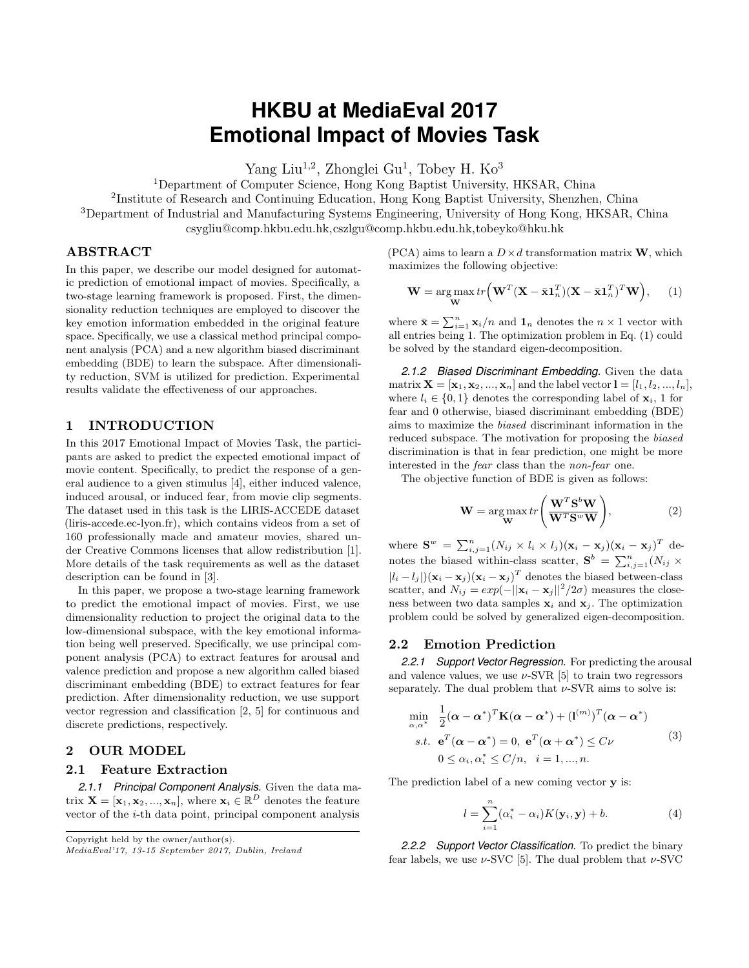# **HKBU at MediaEval 2017 Emotional Impact of Movies Task**

Yang Liu<sup>1,2</sup>, Zhonglei Gu<sup>1</sup>, Tobey H. Ko<sup>3</sup>

<sup>1</sup>Department of Computer Science, Hong Kong Baptist University, HKSAR, China

<sup>2</sup>Institute of Research and Continuing Education, Hong Kong Baptist University, Shenzhen, China <sup>3</sup>Department of Industrial and Manufacturing Systems Engineering, University of Hong Kong, HKSAR, China

csygliu@comp.hkbu.edu.hk,cszlgu@comp.hkbu.edu.hk,tobeyko@hku.hk

## ABSTRACT

In this paper, we describe our model designed for automatic prediction of emotional impact of movies. Specifically, a two-stage learning framework is proposed. First, the dimensionality reduction techniques are employed to discover the key emotion information embedded in the original feature space. Specifically, we use a classical method principal component analysis (PCA) and a new algorithm biased discriminant embedding (BDE) to learn the subspace. After dimensionality reduction, SVM is utilized for prediction. Experimental results validate the effectiveness of our approaches.

#### 1 INTRODUCTION

In this 2017 Emotional Impact of Movies Task, the participants are asked to predict the expected emotional impact of movie content. Specifically, to predict the response of a general audience to a given stimulus [\[4\]](#page-2-0), either induced valence, induced arousal, or induced fear, from movie clip segments. The dataset used in this task is the LIRIS-ACCEDE dataset (liris-accede.ec-lyon.fr), which contains videos from a set of 160 professionally made and amateur movies, shared under Creative Commons licenses that allow redistribution [\[1\]](#page-2-1). More details of the task requirements as well as the dataset description can be found in [\[3\]](#page-2-2).

In this paper, we propose a two-stage learning framework to predict the emotional impact of movies. First, we use dimensionality reduction to project the original data to the low-dimensional subspace, with the key emotional information being well preserved. Specifically, we use principal component analysis (PCA) to extract features for arousal and valence prediction and propose a new algorithm called biased discriminant embedding (BDE) to extract features for fear prediction. After dimensionality reduction, we use support vector regression and classification [\[2,](#page-2-3) [5\]](#page-2-4) for continuous and discrete predictions, respectively.

#### 2 OUR MODEL

#### 2.1 Feature Extraction

*2.1.1 Principal Component Analysis.* Given the data matrix  $\mathbf{X} = [\mathbf{x}_1, \mathbf{x}_2, ..., \mathbf{x}_n]$ , where  $\mathbf{x}_i \in \mathbb{R}^D$  denotes the feature vector of the  $i$ -th data point, principal component analysis

Copyright held by the owner/author(s).

(PCA) aims to learn a  $D \times d$  transformation matrix **W**, which maximizes the following objective:

<span id="page-0-0"></span>
$$
\mathbf{W} = \underset{\mathbf{W}}{\arg \max} tr \Big( \mathbf{W}^T (\mathbf{X} - \bar{\mathbf{x}} \mathbf{1}_n^T) (\mathbf{X} - \bar{\mathbf{x}} \mathbf{1}_n^T)^T \mathbf{W} \Big), \qquad (1)
$$

where  $\bar{\mathbf{x}} = \sum_{i=1}^{n} \mathbf{x}_i/n$  and  $\mathbf{1}_n$  denotes the  $n \times 1$  vector with all entries being 1. The optimization problem in Eq. [\(1\)](#page-0-0) could be solved by the standard eigen-decomposition.

*2.1.2 Biased Discriminant Embedding.* Given the data matrix  $X = [\mathbf{x}_1, \mathbf{x}_2, ..., \mathbf{x}_n]$  and the label vector  $\mathbf{l} = [l_1, l_2, ..., l_n]$ , where  $l_i \in \{0, 1\}$  denotes the corresponding label of  $\mathbf{x}_i$ , 1 for fear and 0 otherwise, biased discriminant embedding (BDE) aims to maximize the biased discriminant information in the reduced subspace. The motivation for proposing the biased discrimination is that in fear prediction, one might be more interested in the fear class than the non-fear one.

The objective function of BDE is given as follows:

$$
\mathbf{W} = \underset{\mathbf{W}}{\arg \max} \, tr\left(\frac{\mathbf{W}^T \mathbf{S}^b \mathbf{W}}{\mathbf{W}^T \mathbf{S}^w \mathbf{W}}\right),\tag{2}
$$

where  $\mathbf{S}^w = \sum_{i,j=1}^n (N_{ij} \times l_i \times l_j)(\mathbf{x}_i - \mathbf{x}_j)(\mathbf{x}_i - \mathbf{x}_j)^T$  denotes the biased within-class scatter,  $S^b = \sum_{i,j=1}^n (N_{ij} \times$  $|l_i - l_j|$  $(\mathbf{x}_i - \mathbf{x}_j)(\mathbf{x}_i - \mathbf{x}_j)^T$  denotes the biased between-class scatter, and  $N_{ij} = exp(-||\mathbf{x}_i - \mathbf{x}_j||^2/2\sigma)$  measures the closeness between two data samples  $x_i$  and  $x_j$ . The optimization problem could be solved by generalized eigen-decomposition.

#### 2.2 Emotion Prediction

*2.2.1 Support Vector Regression.* For predicting the arousal and valence values, we use  $\nu$ -SVR [\[5\]](#page-2-4) to train two regressors separately. The dual problem that  $\nu$ -SVR aims to solve is:

$$
\min_{\alpha,\alpha^*} \frac{1}{2} (\boldsymbol{\alpha} - \boldsymbol{\alpha}^*)^T \mathbf{K} (\boldsymbol{\alpha} - \boldsymbol{\alpha}^*) + (\mathbf{l}^{(m)})^T (\boldsymbol{\alpha} - \boldsymbol{\alpha}^*)
$$
\n*s.t.*  $\mathbf{e}^T (\boldsymbol{\alpha} - \boldsymbol{\alpha}^*) = 0$ ,  $\mathbf{e}^T (\boldsymbol{\alpha} + \boldsymbol{\alpha}^*) \leq C \nu$  (3)\n  
\n $0 \leq \alpha_i, \alpha_i^* \leq C/n, \quad i = 1, ..., n.$ 

The prediction label of a new coming vector **v** is:

$$
l = \sum_{i=1}^{n} (\alpha_i^* - \alpha_i) K(\mathbf{y}_i, \mathbf{y}) + b.
$$
 (4)

*2.2.2 Support Vector Classification.* To predict the binary fear labels, we use  $\nu$ -SVC [\[5\]](#page-2-4). The dual problem that  $\nu$ -SVC

MediaEval'17, 13-15 September 2017, Dublin, Ireland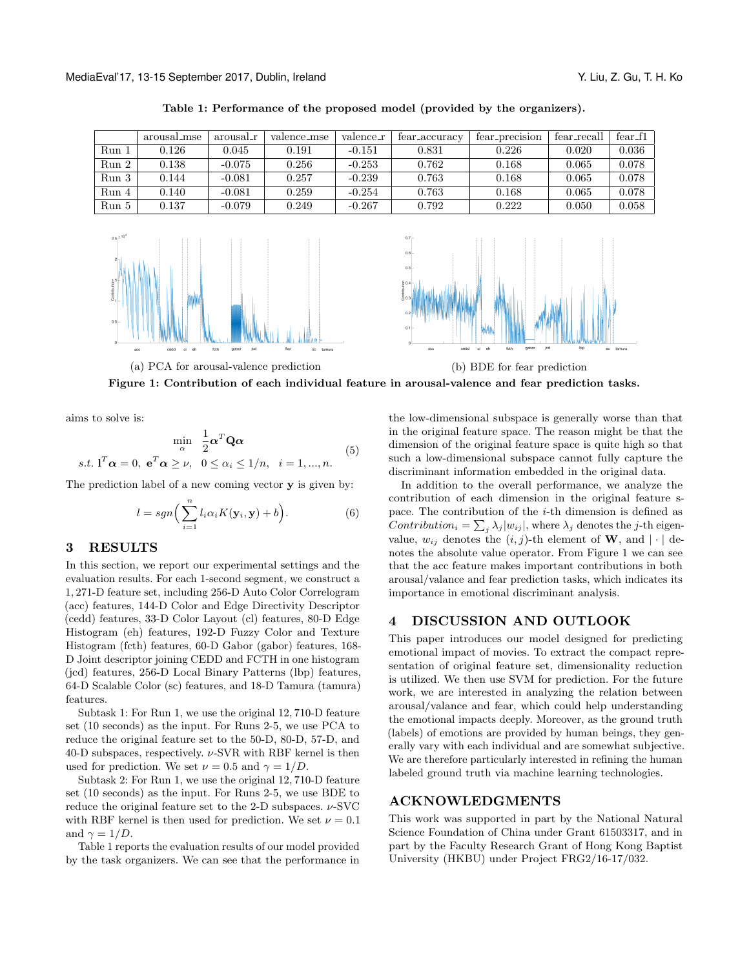<span id="page-1-0"></span>

|       | arousal_mse | arousal_r | valence_mse | valence_r | tear_accuracy | fear_precision | fear_recall | $fear_f1$ |
|-------|-------------|-----------|-------------|-----------|---------------|----------------|-------------|-----------|
| Run 1 | 0.126       | 0.045     | 0.191       | $-0.151$  | 0.831         | 0.226          | 0.020       | 0.036     |
| Run 2 | 0.138       | $-0.075$  | 0.256       | $-0.253$  | 0.762         | 0.168          | 0.065       | 0.078     |
| Run 3 | 0.144       | $-0.081$  | 0.257       | $-0.239$  | 0.763         | 0.168          | 0.065       | 0.078     |
| Run 4 | 0.140       | $-0.081$  | 0.259       | $-0.254$  | 0.763         | 0.168          | 0.065       | 0.078     |
| Run 5 | 0.137       | $-0.079$  | 0.249       | $-0.267$  | 0.792         | 0.222          | 0.050       | 0.058     |
|       |             |           |             |           |               |                |             |           |

Table 1: Performance of the proposed model (provided by the organizers).

<span id="page-1-1"></span>



(a) PCA for arousal-valence prediction (b) BDE for fear prediction



aims to solve is:

$$
\min_{\alpha} \quad \frac{1}{2} \alpha^T \mathbf{Q} \alpha
$$
  
s.t.  $\mathbf{l}^T \alpha = 0$ ,  $\mathbf{e}^T \alpha \ge \nu$ ,  $0 \le \alpha_i \le 1/n$ ,  $i = 1, ..., n$ . (5)

The prediction label of a new coming vector y is given by:

$$
l = sgn\left(\sum_{i=1}^{n} l_i \alpha_i K(\mathbf{y}_i, \mathbf{y}) + b\right).
$$
 (6)

#### 3 RESULTS

In this section, we report our experimental settings and the evaluation results. For each 1-second segment, we construct a 1, 271-D feature set, including 256-D Auto Color Correlogram (acc) features, 144-D Color and Edge Directivity Descriptor (cedd) features, 33-D Color Layout (cl) features, 80-D Edge Histogram (eh) features, 192-D Fuzzy Color and Texture Histogram (fcth) features, 60-D Gabor (gabor) features, 168- D Joint descriptor joining CEDD and FCTH in one histogram (jcd) features, 256-D Local Binary Patterns (lbp) features, 64-D Scalable Color (sc) features, and 18-D Tamura (tamura) features.

Subtask 1: For Run 1, we use the original 12, 710-D feature set (10 seconds) as the input. For Runs 2-5, we use PCA to reduce the original feature set to the 50-D, 80-D, 57-D, and 40-D subspaces, respectively.  $\nu$ -SVR with RBF kernel is then used for prediction. We set  $\nu = 0.5$  and  $\gamma = 1/D$ .

Subtask 2: For Run 1, we use the original 12, 710-D feature set (10 seconds) as the input. For Runs 2-5, we use BDE to reduce the original feature set to the 2-D subspaces.  $\nu$ -SVC with RBF kernel is then used for prediction. We set  $\nu = 0.1$ and  $\gamma = 1/D$ .

Table [1](#page-1-0) reports the evaluation results of our model provided by the task organizers. We can see that the performance in

the low-dimensional subspace is generally worse than that in the original feature space. The reason might be that the dimension of the original feature space is quite high so that such a low-dimensional subspace cannot fully capture the discriminant information embedded in the original data.

In addition to the overall performance, we analyze the contribution of each dimension in the original feature space. The contribution of the  $i$ -th dimension is defined as Contribution<sub>i</sub> =  $\sum_j \lambda_j |w_{ij}|$ , where  $\lambda_j$  denotes the j-th eigenvalue,  $w_{ij}$  denotes the  $(i, j)$ -th element of **W**, and  $|\cdot|$  denotes the absolute value operator. From Figure [1](#page-1-1) we can see that the acc feature makes important contributions in both arousal/valance and fear prediction tasks, which indicates its importance in emotional discriminant analysis.

### 4 DISCUSSION AND OUTLOOK

This paper introduces our model designed for predicting emotional impact of movies. To extract the compact representation of original feature set, dimensionality reduction is utilized. We then use SVM for prediction. For the future work, we are interested in analyzing the relation between arousal/valance and fear, which could help understanding the emotional impacts deeply. Moreover, as the ground truth (labels) of emotions are provided by human beings, they generally vary with each individual and are somewhat subjective. We are therefore particularly interested in refining the human labeled ground truth via machine learning technologies.

#### ACKNOWLEDGMENTS

This work was supported in part by the National Natural Science Foundation of China under Grant 61503317, and in part by the Faculty Research Grant of Hong Kong Baptist University (HKBU) under Project FRG2/16-17/032.